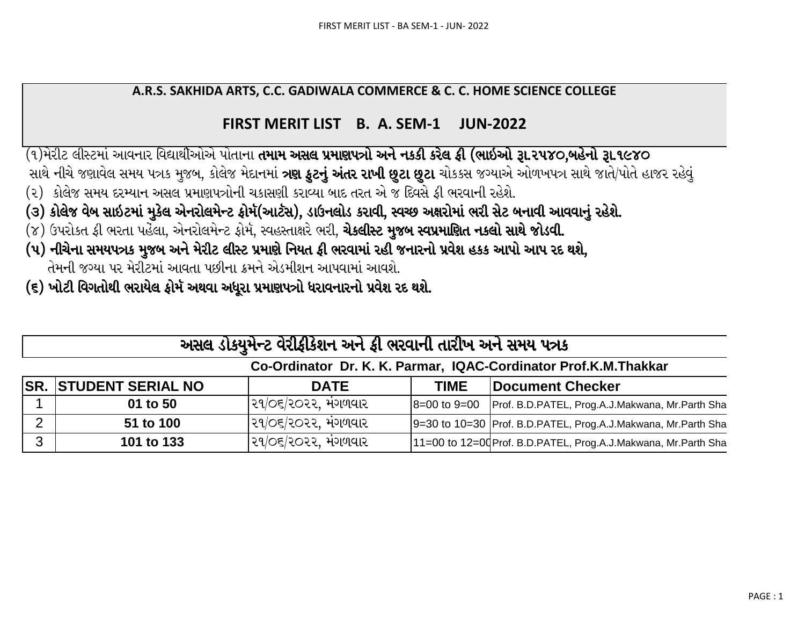## A.R.S. SAKHIDA ARTS, C.C. GADIWALA COMMERCE & C. C. HOME SCIENCE COLLEGE

## FIRST MERIT LIST B. A. SEM-1 **JUN-2022**

(૧)મેરીટ લીસ્ટમાં આવનાર વિદ્યાર્થીઓએ પોતાના **તમામ અસલ પ્રમાણપત્રો અને નકકી કરેલ ફી (ભાઇઓ રૂા.૨૫૪૦,બહેનો રૂા.૧૯૪૦** 

- સાથે નીચે જણાવેલ સમય પત્રક મુજબ, કોલેજ મેદાનમાં **ત્રણ કુટનું અંતર રાખી છુટા છુટા** ચોકકસ જગ્યાએ ઓળખપત્ર સાથે જાતે/પોતે હાજર રહેવું
- (૨) કોલેજ સમય દરમ્યાન અસલ પ્રમાણપત્રોની ચકાસણી કરાવ્યા બાદ તરત એ જ દિવસે ફી ભરવાની રહેશે.
- (૩) કોલેજ વેબ સાઇટમાં મુકેલ એનરોલમેન્ટ ફોર્મ(આર્ટસ), ડાઉનલોડ કરાવી, સ્વચ્છ અક્ષરોમાં ભરી સેટ બનાવી આવવાનું રહેશે.
- (૪) ઉપરોકત ફી ભરતા પહેલા, એનરોલમેન્ટ ફોર્મ, સ્વહસ્તાક્ષરે ભરી, **ચેકલીસ્ટ મુજબ સ્વપ્રમાણિત નકલો સાથે જોડવી.**
- (૫) નીચેના સમયપત્રક મુજબ અને મેરીટ લીસ્ટ પ્રમાણે નિયત ફી ભરવામાં રહી જનારનો પ્રવેશ હકક આપો આપ રદ થશે, તેમની જગ્યા પર મેરીટમાં આવતા પછીના ક્રમને એડમીશન આપવામાં આવશે.
- (૬) ખોટી વિગતોથી ભરાયેલ ફોર્મ અથવા અધૂરા પ્રમાણપત્રો ધરાવનારનો પ્રવેશ રદ થશે.

|              | અસલ ડોકયુમેન્ટ વેરીફીકેશન અને ફી ભરવાની તારીખ અને સમય પત્રક     |                         |      |                                                                 |  |  |  |  |  |  |  |  |  |  |
|--------------|-----------------------------------------------------------------|-------------------------|------|-----------------------------------------------------------------|--|--|--|--|--|--|--|--|--|--|
|              | Co-Ordinator Dr. K. K. Parmar, IQAC-Cordinator Prof.K.M.Thakkar |                         |      |                                                                 |  |  |  |  |  |  |  |  |  |  |
|              | <b>SR. STUDENT SERIAL NO</b>                                    | <b>DATE</b>             | TIME | Document Checker                                                |  |  |  |  |  |  |  |  |  |  |
|              | 01 to 50                                                        | ૨૧/૦૬/૨૦૨૨. મંગળવાર     |      | 8=00 to 9=00   Prof. B.D.PATEL, Prog.A.J.Makwana, Mr.Parth Sha  |  |  |  |  |  |  |  |  |  |  |
| 2            | 51 to 100                                                       | $ 29/$ ૦૬/૨૦૨૨, મંગળવાર |      | 9=30 to 10=30 Prof. B.D.PATEL, Prog.A.J.Makwana, Mr.Parth Sha   |  |  |  |  |  |  |  |  |  |  |
| $\mathbf{3}$ | 101 to 133                                                      | ૨૧/૦૬/૨૦૨૨, મંગળવાર     |      | 11=00 to 12=00 Prof. B.D.PATEL, Prog.A.J.Makwana, Mr.Parth Shal |  |  |  |  |  |  |  |  |  |  |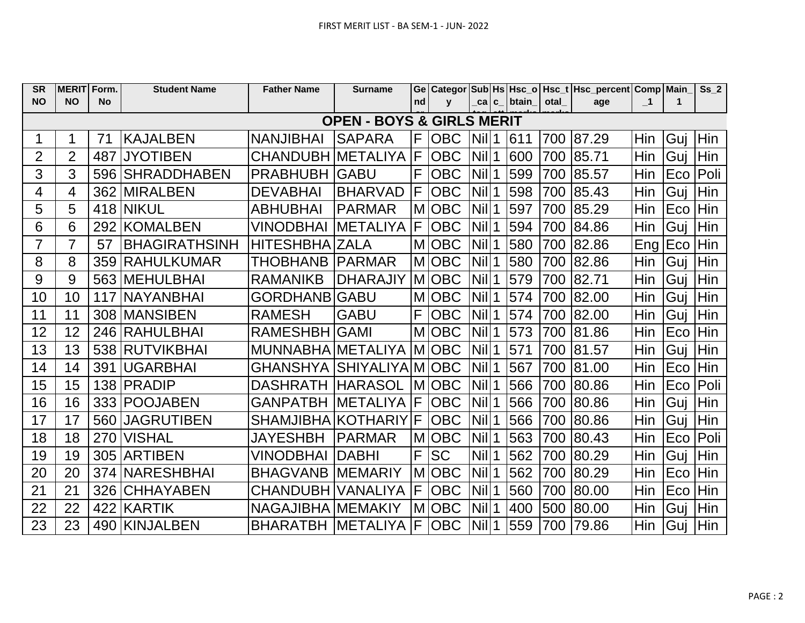| <b>SR</b>      | <b>MERIT Form.</b> |           | <b>Student Name</b>  | <b>Father Name</b>         | <b>Surname</b>                       |    |              |                    |               |      | Ge   Categor   Sub   Hs   Hsc_o   Hsc_t   Hsc_percent   Comp   Main |              |         | Ss <sub>2</sub> |
|----------------|--------------------|-----------|----------------------|----------------------------|--------------------------------------|----|--------------|--------------------|---------------|------|---------------------------------------------------------------------|--------------|---------|-----------------|
| <b>NO</b>      | <b>NO</b>          | <b>No</b> |                      |                            |                                      | nd | $\mathbf{v}$ |                    | _ca c_ btain_ | otal | age                                                                 | $\mathbf{I}$ | 1       |                 |
|                |                    |           |                      |                            | <b>OPEN - BOYS &amp; GIRLS MERIT</b> |    |              |                    |               |      |                                                                     |              |         |                 |
|                |                    | 71        | <b>KAJALBEN</b>      | <b>NANJIBHAI</b>           | <b>SAPARA</b>                        | F  | <b>OBC</b>   | Nill <sub>1</sub>  | 611           | 700  | 87.29                                                               | Hin          | Guj Hin |                 |
| 2              | 2                  | 487       | <b>JYOTIBEN</b>      | CHANDUBH METALIYA          |                                      | F  | <b>OBC</b>   | $Nil$ <sup>1</sup> | 600           | 700  | 85.71                                                               | Hin          | Gui     | Hin             |
| 3              | 3                  | 596       | ISHRADDHABEN         | <b>PRABHUBH</b>            | <b>GABU</b>                          | F  | <b>OBC</b>   | $Nil$ <sup>1</sup> | 599           | 700  | 85.57                                                               | Hin          | Eco     | Poli            |
| 4              | 4                  | 362       | <b>IMIRALBEN</b>     | <b>DEVABHAI</b>            | <b>BHARVAD</b>                       | F  | <b>OBC</b>   | <b>Nil</b>         | 598           | 700  | 85.43                                                               | Hin          | Guj     | Hin             |
| 5              | 5                  |           | 418 NIKUL            | <b>ABHUBHAI</b>            | <b>PARMAR</b>                        | M  | <b>OBC</b>   | <b>Nil</b>         | 597           | 700  | 85.29                                                               | Hin          | Eco     | Hin             |
| 6              | 6                  | 292       | KOMALBEN             | VINODBHAI                  | <b>METALIYA</b>                      | IF | <b>OBC</b>   | $Nil$ <sup>1</sup> | 594           | 700  | 84.86                                                               | Hin          | Guj     | Hin             |
| $\overline{7}$ | $\overline{7}$     | 57        | <b>BHAGIRATHSINH</b> | <b>HITESHBHA ZALA</b>      |                                      | M  | <b>OBC</b>   | $Nil$ <sup>1</sup> | 580           | 700  | 82.86                                                               | Eng          | Eco     | Hin             |
| 8              | 8                  | 359       | IRAHULKUMAR          | <b>THOBHANB</b>            | IPARMAR                              | M  | <b>OBC</b>   | $Nil$ <sup>1</sup> | 580           | 700  | 82.86                                                               | Hin          | Guj     | Hin             |
| 9              | 9                  |           | 563   MEHULBHAI      | <b>RAMANIKB</b>            | <b>DHARAJIY</b>                      |    | M OBC        | $Nil$ <sup>1</sup> | 579           | 700  | 82.71                                                               | Hin          | Guj     | Hin             |
| 10             | 10                 | 117       | INAYANBHAI           | <b>GORDHANB GABU</b>       |                                      |    | M OBC        | $Nil$ <sup>1</sup> | 574           | 700  | 82.00                                                               | Hin          | Guj     | Hin             |
| 11             | 11                 |           | 308 MANSIBEN         | <b>RAMESH</b>              | <b>GABU</b>                          | F  | <b>OBC</b>   | $Nil$ 1            | 574           | 700  | 82.00                                                               | Hin          | Guj     | Hin             |
| 12             | 12                 |           | 246 RAHULBHAI        | RAMESHBH GAMI              |                                      |    | M OBC        | $Nil$ 1            | 573           | 700  | 81.86                                                               | Hin          | Eco     | Hin             |
| 13             | 13                 |           | 538 RUTVIKBHAI       | MUNNABHA METALIYA          |                                      |    | M OBC        | $Nil$ <sup>1</sup> | 571           | 700  | 81.57                                                               | Hin          | Gui     | Hin             |
| 14             | 14                 | 391       | lUGARBHAI            | GHANSHYA  SHIYALIYA M OBC  |                                      |    |              | $Nil$ <sup>1</sup> | 567           | 700  | 81.00                                                               | Hin          | Eco     | Hin             |
| 15             | 15                 | 138       | <b>IPRADIP</b>       | <b>DASHRATH</b>            | <b>HARASOL</b>                       |    | <b>MIOBC</b> | <b>Nill</b>        | 566           | 700  | 80.86                                                               | Hin          | Eco     | Poli            |
| 16             | 16                 |           | 333 POOJABEN         | <b>GANPATBH</b>            | <b>IMETALIYA</b>                     | IF | <b>OBC</b>   | $Nil$ <sup>1</sup> | 566           | 700  | 80.86                                                               | Hin          | Guj     | Hin             |
| 17             | 17                 |           | 560 JAGRUTIBEN       | SHAMJIBHA KOTHARIY F       |                                      |    | <b>OBC</b>   | $Nil$ 1            | 566           | 700  | 80.86                                                               | Hin          | Guj     | Hin             |
| 18             | 18                 | 270       | <b>VISHAL</b>        | <b>JAYESHBH</b>            | <b>PARMAR</b>                        | M  | <b>OBC</b>   | $Nil$ <sup>1</sup> | 563           | 700  | 80.43                                                               | Hin          | Eco     | Poli            |
| 19             | 19                 | 305       | IARTIBEN             | <b>VINODBHAI</b>           | <b>DABHI</b>                         | F  | <b>SC</b>    | $Nil$ <sup>1</sup> | 562           | 700  | 80.29                                                               | Hin          | Guj     | Hin             |
| 20             | 20                 | 374       | <b>NARESHBHAI</b>    | <b>BHAGVANB</b>            | <b>IMEMARIY</b>                      | M  | <b>OBC</b>   | $Nil$ 1            | 562           | 700  | 80.29                                                               | Hin          | Eco     | Hin             |
| 21             | 21                 | 326       | <b>CHHAYABEN</b>     | CHANDUBH IVANALIYA         |                                      | F  | <b>OBC</b>   | <b>Nil</b>         | 560           | 700  | 80.00                                                               | Hin          | Eco     | Hin             |
| 22             | 22                 |           | 422 KARTIK           | NAGAJIBHA MEMAKIY          |                                      | M  | <b>OBC</b>   | $Nil$ 1            | 400           | 500  | 80.00                                                               | Hin          | Guj     | Hin             |
| 23             | 23                 |           | 490 KINJALBEN        | BHARATBH  METALIYA  F  OBC |                                      |    |              | $Nil$ 1            | 559           |      | 700 79.86                                                           | Hin          | Guj Hin |                 |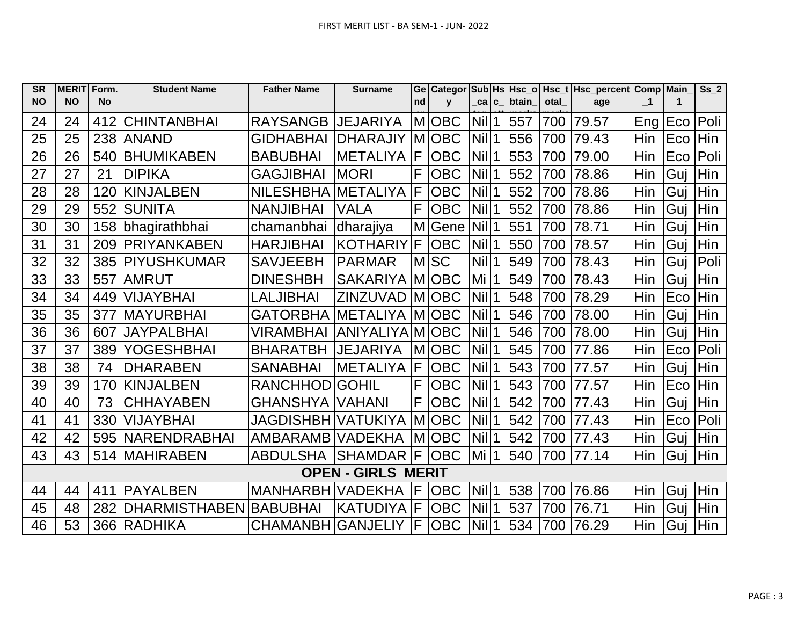| <b>SR</b> | <b>MERIT</b> | Form.     | <b>Student Name</b>  | <b>Father Name</b>         | <b>Surname</b>            | Ge | <b>Categor</b> |                    |             |              |      | Sub Hs Hsc_o   Hsc_t   Hsc_percent   Comp   Main |                         |             | $Ss_2$ |
|-----------|--------------|-----------|----------------------|----------------------------|---------------------------|----|----------------|--------------------|-------------|--------------|------|--------------------------------------------------|-------------------------|-------------|--------|
| <b>NO</b> | <b>NO</b>    | <b>No</b> |                      |                            |                           | nd | $\mathbf{v}$   | _ca   c_           |             | <b>btain</b> | otal | age                                              | $\overline{\mathbf{1}}$ | $\mathbf 1$ |        |
| 24        | 24           |           | 412 CHINTANBHAI      | RAYSANGB   JEJARIYA        |                           |    | M OBC          | Nill1              |             | 557          | 700  | 79.57                                            | Eng   Eco               |             | Poli   |
| 25        | 25           |           | 238 ANAND            | <b>GIDHABHAI</b>           | IDHARAJIY                 |    | MOBC           | <b>Nill</b>        | 1           | 556          | 700  | 79.43                                            | Hin                     | Eco         | Hin    |
| 26        | 26           | 540       | <b>BHUMIKABEN</b>    | <b>BABUBHAI</b>            | <b>METALIYA</b>           | F  | <b>OBC</b>     | <b>Nil</b>         | 1           | 553          | 700  | 79.00                                            | Hin                     | Eco         | Poli   |
| 27        | 27           | 21        | <b>DIPIKA</b>        | <b>GAGJIBHAI</b>           | <b>MORI</b>               | F  | <b>OBC</b>     | Nill <sub>1</sub>  |             | 552          | 700  | 78.86                                            | Hin                     | Guj         | Hin    |
| 28        | 28           | 120       | KINJALBEN            | NILESHBHA METALIYA         |                           | F  | <b>OBC</b>     | Nil                | 1           | 552          | 700  | 78.86                                            | Hin                     | Guj         | Hin    |
| 29        | 29           | 552       | <b>SUNITA</b>        | <b>NANJIBHAI</b>           | <b>VALA</b>               | F  | <b>OBC</b>     | <b>Nil</b>         | 1           | 552          | 700  | 78.86                                            | Hin                     | Guj         | Hin    |
| 30        | 30           |           | 158 bhagirathbhai    | chamanbhai                 | dharajiya                 | M  | Gene           | <b>Nil</b>         | 1           | 551          | 700  | 78.71                                            | Hin                     | Guj         | Hin    |
| 31        | 31           | 209       | <b>PRIYANKABEN</b>   | <b>HARJIBHAI</b>           | <b>KOTHARIY</b>           | F  | <b>OBC</b>     | <b>Nil</b>         |             | 550          | 700  | 78.57                                            | Hin                     | Guj         | Hin    |
| 32        | 32           |           | 385 PIYUSHKUMAR      | <b>SAVJEEBH</b>            | <b>PARMAR</b>             |    | MSC            | <b>Nil</b>         |             | 549          | 700  | 78.43                                            | Hin                     | Guj         | Poli   |
| 33        | 33           | 557       | <b>AMRUT</b>         | <b>DINESHBH</b>            | <b>SAKARIYA</b>           |    | M OBC          | Mi                 |             | 549          | 700  | 78.43                                            | Hin                     | Guj         | Hin    |
| 34        | 34           |           | 449 VIJAYBHAI        | <b>LALJIBHAI</b>           | <b>ZINZUVAD</b>           |    | M OBC          | <b>Nill</b>        | $\mathbf 1$ | 548          | 700  | 78.29                                            | Hin                     | Eco         | Hin    |
| 35        | 35           | 377       | <b>MAYURBHAI</b>     | <b>GATORBHA   METALIYA</b> |                           |    | M OBC          | <b>Nil</b>         | 1           | 546          | 700  | 78.00                                            | Hin                     | Guj         | Hin    |
| 36        | 36           | 607       | <b>JAYPALBHAI</b>    | VIRAMBHAI                  | ANIYALIYA M OBC           |    |                | <b>Nill</b>        | 1           | 546          | 700  | 78.00                                            | Hin                     | Guj         | Hin    |
| 37        | 37           | 389       | <b>YOGESHBHAI</b>    | <b>BHARATBH</b>            | <b>JEJARIYA</b>           |    | <b>MOBC</b>    | <b>Nil</b>         | 1           | 545          | 700  | 77.86                                            | Hin                     | Eco         | Poli   |
| 38        | 38           | 74        | <b>DHARABEN</b>      | <b>SANABHAI</b>            | METALIYA                  | F. | <b>OBC</b>     | $Nil$ 1            |             | 543          | 700  | 77.57                                            | Hin                     | Guj         | Hin    |
| 39        | 39           | 170       | KINJALBEN            | <b>RANCHHOD</b>            | <b>GOHIL</b>              | F  | <b>OBC</b>     | <b>Nil</b>         | 1           | 543          | 700  | 77.57                                            | Hin                     | Eco         | Hin    |
| 40        | 40           | 73        | <b>CHHAYABEN</b>     | <b>GHANSHYA VAHANI</b>     |                           | F  | <b>OBC</b>     | <b>Nil</b>         |             | 542          | 700  | 77.43                                            | Hin                     | Guj         | Hin    |
| 41        | 41           | 330       | <b>VIJAYBHAI</b>     | JAGDISHBH   VATUKIYA       |                           |    | <b>MOBC</b>    | Nil                |             | 542          | 700  | 77.43                                            | Hin                     | Eco         | Poli   |
| 42        | 42           |           | 595 NARENDRABHAI     | AMBARAMB VADEKHA           |                           |    | <b>MOBC</b>    | <b>Nil</b>         | 1           | 542          | 700  | 77.43                                            | Hin                     | Guj         | Hin    |
| 43        | 43           |           | 514 MAHIRABEN        | <b>ABDULSHA</b>            | <b>SHAMDAR</b>            | F  | <b>OBC</b>     | Mi                 |             | 540          | 700  | 77.14                                            | Hin                     | Guj         | Hin    |
|           |              |           |                      |                            | <b>OPEN - GIRLS MERIT</b> |    |                |                    |             |              |      |                                                  |                         |             |        |
| 44        | 44           | 411       | <b>PAYALBEN</b>      | <b>MANHARBH VADEKHA</b>    |                           | F  | <b>OBC</b>     | $Nil$ <sup>1</sup> |             | 538          | 700  | 76.86                                            | Hin                     | Guj         | Hin    |
| 45        | 48           | 282       | <b>DHARMISTHABEN</b> | <b>BABUBHAI</b>            | <b>KATUDIYA</b>           | F  | <b>OBC</b>     | <b>Nil</b>         | 1           | 537          | 700  | 76.71                                            | Hin                     | Guj         | Hin    |
| 46        | 53           |           | 366 RADHIKA          | CHAMANBH GANJELIY          |                           | IF | <b>OBC</b>     | <b>Nil</b>         |             | 534          | 700  | 76.29                                            | Hin                     | Guj         | Hin    |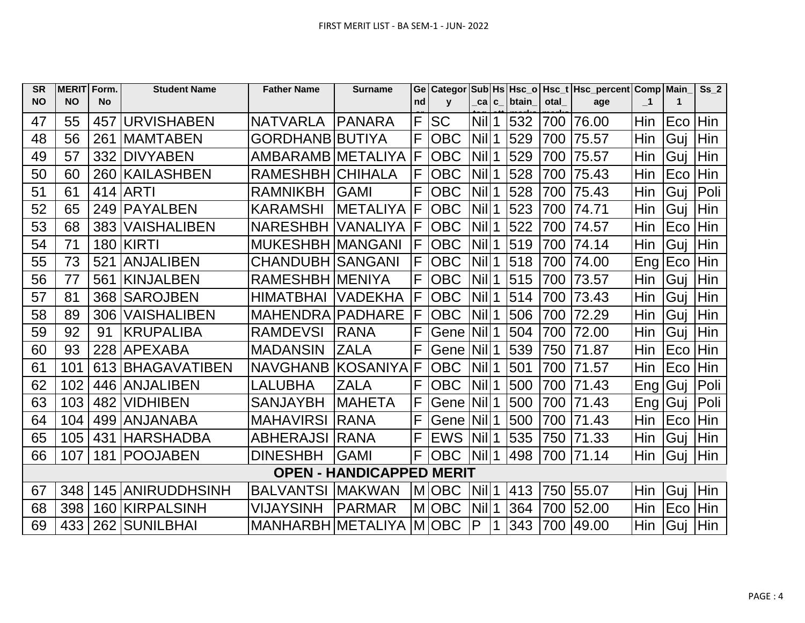| <b>SR</b> | <b>MERIT</b> | Form.     | <b>Student Name</b>   | <b>Father Name</b>       | <b>Surname</b>                  | Ge | <b>Categor</b> |                    |             |       |      | Sub Hs Hsc_o   Hsc_t   Hsc_percent   Comp   Main_ |              |     | Ss <sub>2</sub> |
|-----------|--------------|-----------|-----------------------|--------------------------|---------------------------------|----|----------------|--------------------|-------------|-------|------|---------------------------------------------------|--------------|-----|-----------------|
| <b>NO</b> | <b>NO</b>    | <b>No</b> |                       |                          |                                 | nd | $\mathbf v$    | _ca│c_             |             | btain | otal | age                                               | $\mathbf{I}$ | 1   |                 |
| 47        | 55           |           | 457 URVISHABEN        | <b>NATVARLA</b>          | IPANARA                         | F  | <b>SC</b>      | Nill1              |             | 532   | 700  | 76.00                                             | Hin          | Eco | Hin             |
| 48        | 56           | 261       | <b>IMAMTABEN</b>      | <b>GORDHANB BUTIYA</b>   |                                 | F  | <b>OBC</b>     | <b>Nill</b>        | $\mathbf 1$ | 529   | 700  | 75.57                                             | Hin          | Guj | Hin             |
| 49        | 57           | 332       | <b>DIVYABEN</b>       | AMBARAMB METALIYA        |                                 | F  | <b>OBC</b>     | <b>Nil</b>         | 1           | 529   | 700  | 75.57                                             | Hin          | Guj | Hin             |
| 50        | 60           |           | 260 KAILASHBEN        | <b>RAMESHBH</b>          | <b>CHIHALA</b>                  | F  | <b>OBC</b>     | $Nil$ 1            |             | 528   | 700  | 75.43                                             | Hin          | Eco | Hin             |
| 51        | 61           |           | 414 ARTI              | <b>RAMNIKBH</b>          | <b>GAMI</b>                     | F  | <b>OBC</b>     | Nil 1              |             | 528   | 700  | 75.43                                             | Hin          | Guj | Poli            |
| 52        | 65           | 249       | IPAYALBEN             | <b>KARAMSHI</b>          | <b>METALIYA</b>                 | F  | <b>OBC</b>     | <b>Nil</b>         | 1           | 523   | 700  | 74.71                                             | Hin          | Gui | Hin             |
| 53        | 68           | 383       | <b>VAISHALIBEN</b>    | <b>NARESHBH</b>          | <b>VANALIYA</b>                 | F  | <b>OBC</b>     | <b>Nil</b>         | 1           | 522   | 700  | 74.57                                             | Hin          | Eco | Hin             |
| 54        | 71           |           | <b>180 KIRTI</b>      | <b>MUKESHBH MANGANI</b>  |                                 | F  | <b>OBC</b>     | <b>Nil</b>         |             | 519   | 700  | 74.14                                             | Hin          | Gui | Hin             |
| 55        | 73           | 521       | <b>ANJALIBEN</b>      | <b>CHANDUBH SANGANI</b>  |                                 | F  | <b>OBC</b>     | <b>Nil</b>         | 1           | 518   | 700  | 74.00                                             | Eng          | Eco | Hin             |
| 56        | 77           | 561       | <b>KINJALBEN</b>      | <b>RAMESHBH MENIYA</b>   |                                 | F  | <b>OBC</b>     | <b>Nil</b>         | 1           | 515   | 700  | 73.57                                             | Hin          | Guj | Hin             |
| 57        | 81           |           | 368 SAROJBEN          | <b>HIMATBHAI</b>         | <b>VADEKHA</b>                  | F  | <b>OBC</b>     | $Nil$ <sup>1</sup> |             | 514   | 700  | 73.43                                             | Hin          | Guj | Hin             |
| 58        | 89           | 306       | <b>VAISHALIBEN</b>    | MAHENDRA PADHARE         |                                 | F  | <b>OBC</b>     | <b>Nil</b>         | 1           | 506   | 700  | 72.29                                             | Hin          | Guj | Hin             |
| 59        | 92           | 91        | IKRUPALIBA            | <b>RAMDEVSI</b>          | <b>RANA</b>                     | F  | Gene           | Nill <sub>1</sub>  |             | 504   | 700  | 72.00                                             | Hin          | Gui | Hin             |
| 60        | 93           |           | 228 APEXABA           | <b>MADANSIN</b>          | <b>ZALA</b>                     | F  | Gene           | <b>Nil</b>         | 1           | 539   | 750  | 71.87                                             | Hin          | Eco | Hin             |
| 61        | 101          |           | 613 BHAGAVATIBEN      | <b>NAVGHANB KOSANIYA</b> |                                 | F  | <b>OBC</b>     | $Nil$ <sup>1</sup> |             | 501   | 700  | 71.57                                             | Hin          | Eco | Hin             |
| 62        | 102          |           | 446 ANJALIBEN         | <b>LALUBHA</b>           | <b>ZALA</b>                     | F  | <b>OBC</b>     | <b>Nil</b>         | 1           | 500   | 700  | 71.43                                             | Eng          | Guj | Poli            |
| 63        | 103          | 482       | <b>VIDHIBEN</b>       | <b>SANJAYBH</b>          | <b>IMAHETA</b>                  | F  | Gene           | <b>Nill</b>        | 1           | 500   | 700  | 71.43                                             | Eng!         | Guj | Poli            |
| 64        | 104          | 499       | <b>JANJANABA</b>      | <b>MAHAVIRSI</b>         | <b>RANA</b>                     | F  | Gene           | <b>Nill</b>        |             | 500   | 700  | 71.43                                             | Hin          | Eco | Hin             |
| 65        | 105          | 431       | IHARSHADBA            | <b>ABHERAJSI</b>         | <b>RANA</b>                     | F  | <b>EWS</b>     | <b>Nill</b>        | 1           | 535   | 750  | 71.33                                             | Hin          | Guj | Hin             |
| 66        | 107          | 181       | <b>POOJABEN</b>       | <b>DINESHBH</b>          | <b>GAMI</b>                     | F  | <b>OBC</b>     | Nill1              |             | 498   | 700  | 71.14                                             | Hin          | Gui | Hin             |
|           |              |           |                       |                          | <b>OPEN - HANDICAPPED MERIT</b> |    |                |                    |             |       |      |                                                   |              |     |                 |
| 67        | 348          |           | 145 ANIRUDDHSINH      | <b>BALVANTSI</b>         | <b>IMAKWAN</b>                  |    | M OBC          | $Nil$ <sup>1</sup> |             | 413   | 750  | 55.07                                             | Hin          | Gui | Hin             |
| 68        | 398          | 160       | <b>KIRPALSINH</b>     | <b>VIJAYSINH</b>         | <b>PARMAR</b>                   | M  | <b>OBC</b>     | <b>Nil</b>         | 1           | 364   | 700  | 52.00                                             | Hin          | Eco | Hin             |
| 69        |              |           | 433   262   SUNILBHAI | MANHARBH METALIYA        |                                 |    | M OBC          | $\mathsf{P}$       | 1           | 343   | 700  | 49.00                                             | Hin          | Guj | Hin             |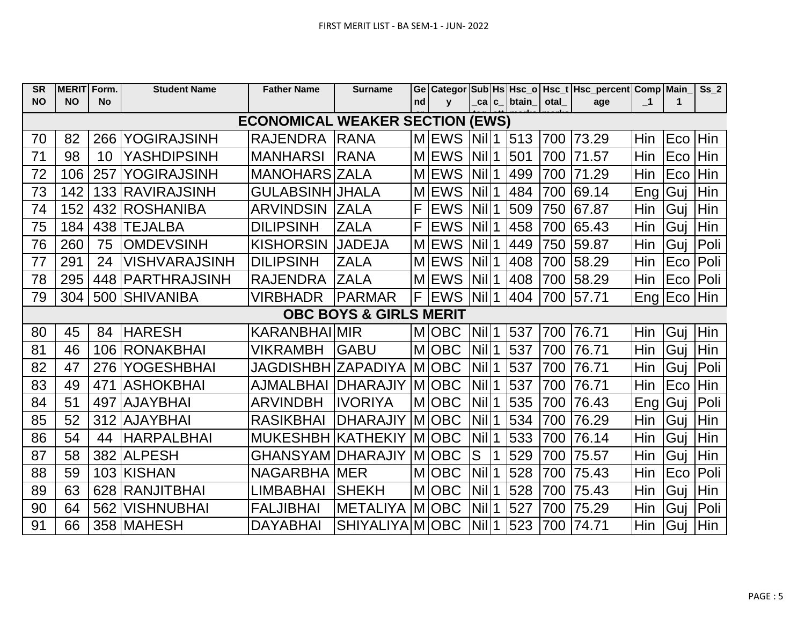| <b>SR</b> | <b>MERIT Form.</b>                |           | <b>Student Name</b>  | <b>Father Name</b>                     | <b>Surname</b>        |    |              |                                  |   |              |      | Ge   Categor   Sub   Hs   Hsc_o   Hsc_t   Hsc_percent   Comp   Main_ |                         |                 | Ss <sub>2</sub> |
|-----------|-----------------------------------|-----------|----------------------|----------------------------------------|-----------------------|----|--------------|----------------------------------|---|--------------|------|----------------------------------------------------------------------|-------------------------|-----------------|-----------------|
| <b>NO</b> | <b>NO</b>                         | <b>No</b> |                      |                                        |                       | nd | $\mathbf{V}$ | $\lfloor ca \rfloor$ c $\lfloor$ |   | <b>btain</b> | otal | age                                                                  | $\overline{\mathbf{1}}$ | 1               |                 |
|           |                                   |           |                      | <b>ECONOMICAL WEAKER SECTION (EWS)</b> |                       |    |              |                                  |   |              |      |                                                                      |                         |                 |                 |
| 70        | 82                                |           | 266 YOGIRAJSINH      | <b>RAJENDRA</b>                        | <b>RANA</b>           |    | <b>MEWS</b>  | $Nil$ 1                          |   | 513          | 700  | 73.29                                                                | Hin                     | Eco             | <b>Hin</b>      |
| 71        | 98                                | 10        | <b>YASHDIPSINH</b>   | <b>MANHARSI</b>                        | <b>RANA</b>           |    | <b>MEWS</b>  | <b>Nil</b>                       | 1 | 501          | 700  | 71.57                                                                | Hin                     | Eco             | Hin             |
| 72        | 106                               | 257       | <b>YOGIRAJSINH</b>   | <b>MANOHARS ZALA</b>                   |                       |    | <b>MEWS</b>  | <b>Nil</b>                       |   | 499          | 700  | 71.29                                                                | Hin                     | Eco             | Hin             |
| 73        | 142                               |           | 133 RAVIRAJSINH      | <b>GULABSINH JHALA</b>                 |                       |    | <b>MEWS</b>  | <b>Nil</b>                       |   | 484          | 700  | 69.14                                                                | Eng                     | Guj             | Hin             |
| 74        | 152                               |           | 432   ROSHANIBA      | <b>ARVINDSIN</b>                       | <b>ZALA</b>           | F  | <b>EWS</b>   | <b>Nil</b>                       |   | 509          | 750  | 67.87                                                                | Hin                     | Guj             | Hin             |
| 75        | 184                               | 438       | <b>ITEJALBA</b>      | <b>DILIPSINH</b>                       | <b>ZALA</b>           | F  | <b>EWS</b>   | Nil                              |   | 458          | 700  | 65.43                                                                | Hin                     | Guj             | Hin             |
| 76        | 260                               | 75        | <b>OMDEVSINH</b>     | <b>KISHORSIN</b>                       | <b>JADEJA</b>         |    | <b>MEWS</b>  | Nil                              |   | 449          | 750  | 59.87                                                                | Hin                     | Guj             | Poli            |
| 77        | 291                               | 24        | <b>VISHVARAJSINH</b> | <b>DILIPSINH</b>                       | <b>ZALA</b>           |    | <b>MEWS</b>  | Nil                              |   | 408          | 700  | 58.29                                                                | Hin                     | Eco             | Poli            |
| 78        | 295                               | 448       | <b>PARTHRAJSINH</b>  | <b>RAJENDRA</b>                        | <b>ZALA</b>           |    | <b>MEWS</b>  | <b>Nil</b>                       |   | 408          | 700  | 58.29                                                                | Hin                     | Eco             | Poli            |
| 79        | 304                               |           | 500 SHIVANIBA        | <b>VIRBHADR</b>                        | <b>PARMAR</b>         | F  | <b>EWS</b>   | Nill1                            |   | 404          |      | 700 57.71                                                            |                         | Eng   Eco   Hin |                 |
|           | <b>OBC BOYS &amp; GIRLS MERIT</b> |           |                      |                                        |                       |    |              |                                  |   |              |      |                                                                      |                         |                 |                 |
| 80        | 45                                | 84        | <b>HARESH</b>        | KARANBHAIMIR                           |                       |    | M OBC        | <b>Nil</b>                       |   | 537          | 700  | 76.71                                                                | Hin                     | Guj             | Hin             |
| 81        | 46                                |           | 106 RONAKBHAI        | <b>VIKRAMBH</b>                        | <b>GABU</b>           |    | <b>MOBC</b>  | <b>Nil</b>                       |   | 537          | 700  | 76.71                                                                | Hin                     | Guj             | Hin             |
| 82        | 47                                |           | 276 YOGESHBHAI       | <b>JAGDISHBH ZAPADIYA</b>              |                       |    | M OBC        | <b>Nil</b>                       |   | 537          | 700  | 76.71                                                                | Hin                     | Guj             | Poli            |
| 83        | 49                                | 471       | <b>ASHOKBHAI</b>     | <b>AJMALBHAI</b>                       | <b>DHARAJIY</b>       |    | <b>MOBC</b>  | Nil                              |   | 537          | 700  | 76.71                                                                | Hin                     | Eco             | Hin             |
| 84        | 51                                | 497       | <b>AJAYBHAI</b>      | <b>ARVINDBH</b>                        | IIVORIYA              |    | MOBC         | Nil                              |   | 535          | 700  | 76.43                                                                | Eng <sub> </sub>        | Guj             | Poli            |
| 85        | 52                                | 312       | <b>AJAYBHAI</b>      | <b>RASIKBHAI</b>                       | <b>DHARAJIY</b>       |    | <b>MOBC</b>  | Nil                              |   | 534          | 700  | 76.29                                                                | Hin                     | Guj             | Hin             |
| 86        | 54                                | 44        | <b>HARPALBHAI</b>    | MUKESHBH KATHEKIY MOBC                 |                       |    |              | Nil                              |   | 533          | 700  | 76.14                                                                | Hin                     | Guj             | Hin             |
| 87        | 58                                |           | 382 ALPESH           | <b>GHANSYAM</b>                        | <b>DHARAJIY</b>       |    | MOBC         | S                                |   | 529          | 700  | 75.57                                                                | Hin                     | Guj             | Hin             |
| 88        | 59                                |           | 103 KISHAN           | <b>NAGARBHA MER</b>                    |                       |    | MOBC         | Nil                              |   | 528          | 700  | 75.43                                                                | Hin                     | Eco             | Poli            |
| 89        | 63                                |           | 628 RANJITBHAI       | <b>LIMBABHAI</b>                       | <b>SHEKH</b>          |    | M OBC        | Nil                              |   | 528          | 700  | 75.43                                                                | Hin                     | Gui             | Hin             |
| 90        | 64                                | 562       | <b>VISHNUBHAI</b>    | <b>FALJIBHAI</b>                       | <b>METALIYA M OBC</b> |    |              | <b>Nil</b>                       |   | 527          | 700  | 75.29                                                                | Hin                     | Guj             | Poli            |
| 91        | 66                                |           | 358 MAHESH           | <b>DAYABHAI</b>                        | SHIYALIYA M OBC       |    |              | <b>Nil</b>                       |   | 523          | 700  | 74.71                                                                | Hin                     | Guj             | Hin             |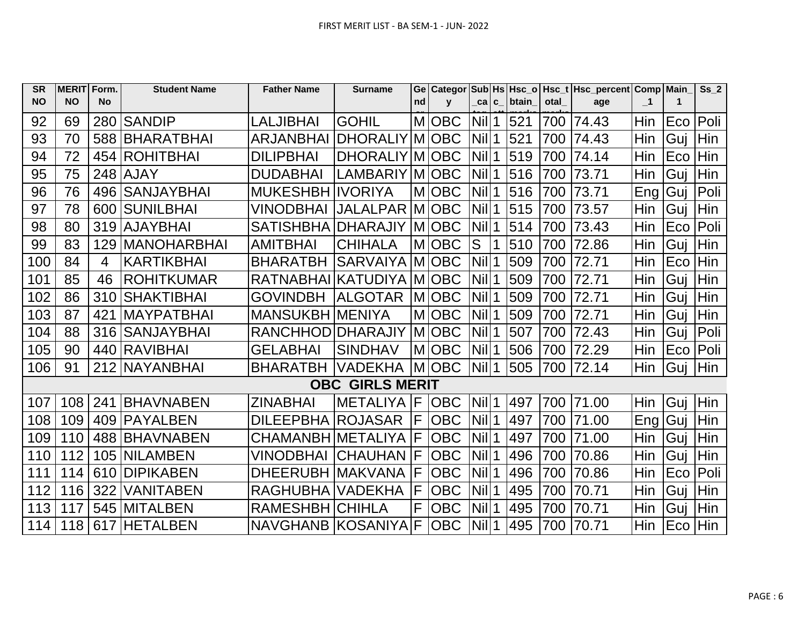| <b>SR</b> | <b>MERIT</b> | Form.          | <b>Student Name</b> | <b>Father Name</b>       | <b>Surname</b>         |    | Ge   Categor |                          |             |              |      | Sub Hs Hsc_o   Hsc_t   Hsc_percent   Comp   Main |                  |             | Ss <sub>2</sub> |
|-----------|--------------|----------------|---------------------|--------------------------|------------------------|----|--------------|--------------------------|-------------|--------------|------|--------------------------------------------------|------------------|-------------|-----------------|
| <b>NO</b> | <b>NO</b>    | <b>No</b>      |                     |                          |                        | nd | $\mathbf{V}$ | ca c                     |             | <b>btain</b> | otal | age                                              | $\mathbf{I}$     | $\mathbf 1$ |                 |
| 92        | 69           |                | 280 SANDIP          | <b>LALJIBHAI</b>         | <b>GOHIL</b>           |    | M OBC        | $Nil$ 1                  |             | 521          | 700  | 74.43                                            | Hin              | Eco         | Poli            |
| 93        | 70           |                | 588 BHARATBHAI      | <b>ARJANBHAI</b>         | DHORALIY MOBC          |    |              | $Nil$ <sup>1</sup>       |             | 521          | 700  | 74.43                                            | Hin              | Guj         | Hin             |
| 94        | 72           |                | 454 ROHITBHAI       | <b>DILIPBHAI</b>         | DHORALIY M   OBC       |    |              | $Nil$ 1                  |             | 519          | 700  | 74.14                                            | Hin              | Eco         | Hin             |
| 95        | 75           |                | 248 AJAY            | <b>DUDABHAI</b>          | LAMBARIY               |    | M OBC        | $Nil$ 1                  |             | 516          | 700  | 73.71                                            | Hin              | Guj         | Hin             |
| 96        | 76           |                | 496 SANJAYBHAI      | <b>MUKESHBH IVORIYA</b>  |                        |    | M OBC        | Nil                      | 1           | 516          | 700  | 73.71                                            | Eng!             | Guj         | Poli            |
| 97        | 78           |                | 600 SUNILBHAI       | VINODBHAI                | JALALPAR MOBC          |    |              | <b>Nil</b>               | 1           | 515          | 700  | 73.57                                            | Hin              | Guj         | Hin             |
| 98        | 80           |                | 319 AJAYBHAI        | SATISHBHA DHARAJIY MOBC  |                        |    |              | <b>Nil</b>               | 1           | 514          | 700  | 73.43                                            | Hin              | Eco         | Poli            |
| 99        | 83           | 129            | <b>MANOHARBHAI</b>  | <b>AMITBHAI</b>          | <b>CHIHALA</b>         |    | <b>MOBC</b>  | S                        |             | 510          | 700  | 72.86                                            | Hin              | Guj         | Hin             |
| 100       | 84           | $\overline{4}$ | <b>KARTIKBHAI</b>   | <b>BHARATBH</b>          | <b>SARVAIYA</b>        |    | M OBC        | <b>Nil</b>               |             | 509          | 700  | 72.71                                            | Hin              | Eco         | Hin             |
| 101       | 85           | 46             | <b>ROHITKUMAR</b>   | RATNABHAI KATUDIYA       |                        |    | <b>MOBC</b>  | Nill1                    |             | 509          | 700  | 72.71                                            | Hin              | Guj         | Hin             |
| 102       | 86           |                | 310 SHAKTIBHAI      | <b>GOVINDBH</b>          | <b>ALGOTAR</b>         |    | <b>MOBC</b>  | <b>Nil</b>               | $\mathbf 1$ | 509          | 700  | 72.71                                            | Hin              | Guj         | Hin             |
| 103       | 87           | 421            | <b>MAYPATBHAI</b>   | <b>MANSUKBH MENIYA</b>   |                        |    | M OBC        | Nil                      | 1           | 509          | 700  | 72.71                                            | Hin              | Guj         | Hin             |
| 104       | 88           |                | 316 SANJAYBHAI      | RANCHHOD DHARAJIY        |                        |    | <b>MOBC</b>  | Nill1                    |             | 507          | 700  | 72.43                                            | Hin              | Guj         | Poli            |
| 105       | 90           |                | 440 RAVIBHAI        | <b>GELABHAI</b>          | <b>SINDHAV</b>         |    | M OBC        | <b>Nil</b>               |             | 506          | 700  | 72.29                                            | Hin              | Eco         | Poli            |
| 106       | 91           |                | 212 NAYANBHAI       | <b>BHARATBH</b>          | <b>VADEKHA</b>         |    | M OBC        | $\left $ Nil $\right $ 1 |             | 505          | 700  | 72.14                                            | Hin              | Guj         | Hin             |
|           |              |                |                     |                          | <b>OBC GIRLS MERIT</b> |    |              |                          |             |              |      |                                                  |                  |             |                 |
| 107       | 108          | 241            | <b>BHAVNABEN</b>    | <b>ZINABHAI</b>          | <b>METALIYA</b>        | IF | <b>OBC</b>   | $Nil$ <sup>1</sup>       |             | 497          | 700  | 71.00                                            | Hin              | Guj         | Hin             |
| 108       | 109          |                | 409 PAYALBEN        | <b>DILEEPBHA ROJASAR</b> |                        | F  | <b>OBC</b>   | $Nil$ <sup>1</sup>       |             | 497          | 700  | 71.00                                            | Eng <sup>1</sup> | Guj         | Hin             |
| 109       | 110          |                | 488 BHAVNABEN       | CHAMANBH   METALIYA      |                        | F  | <b>OBC</b>   | Nill1                    |             | 497          | 700  | 71.00                                            | Hin              | Guj         | Hin             |
| 110       | 112          |                | 105 NILAMBEN        | <b>VINODBHAI</b>         | ICHAUHAN               | F  | <b>OBC</b>   | <b>Nil</b>               | $\mathbf 1$ | 496          | 700  | 70.86                                            | Hin              | Guj         | Hin             |
| 111       | 114          | 610            | <b>DIPIKABEN</b>    | DHEERUBH IMAKVANA        |                        | F  | <b>OBC</b>   | <b>Nil</b>               | $\mathbf 1$ | 496          | 700  | 70.86                                            | Hin              | Eco         | Poli            |
| 112       | 116          | 322            | <b>VANITABEN</b>    | RAGHUBHA VADEKHA         |                        | F  | <b>OBC</b>   | <b>Nill</b>              | $\mathbf 1$ | 495          | 700  | 70.71                                            | Hin              | Guj         | Hin             |
| 113       | 117          |                | 545 MITALBEN        | RAMESHBH CHIHLA          |                        | F  | <b>OBC</b>   | $Nil$ <sup>1</sup>       |             | 495          | 700  | 70.71                                            | Hin              | Guj         | Hin             |
| 114       |              |                | 118 617 HETALBEN    | <b>NAVGHANB KOSANIYA</b> |                        | F. | <b>OBC</b>   | $Nil$ <sup>1</sup>       |             | 495          | 700  | 70.71                                            | Hin              | Eco         | Hin             |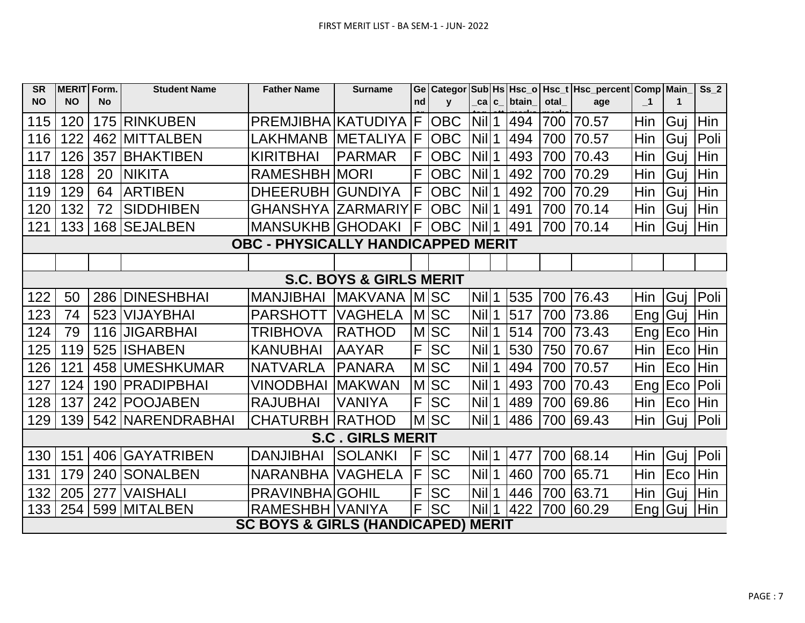| <b>SR</b> | MERIT Form.                               |           | <b>Student Name</b> | <b>Father Name</b>                            | <b>Surname</b>          |    |              |            |  |       |      | Ge   Categor   Sub   Hs   Hsc_o   Hsc_t   Hsc_percent   Comp   Main_ |                            |           | Ss <sub>2</sub> |
|-----------|-------------------------------------------|-----------|---------------------|-----------------------------------------------|-------------------------|----|--------------|------------|--|-------|------|----------------------------------------------------------------------|----------------------------|-----------|-----------------|
| <b>NO</b> | <b>NO</b>                                 | <b>No</b> |                     |                                               |                         | nd | $\mathbf{v}$ | _ca c_     |  | btain | otal | age                                                                  | $\overline{\phantom{0}}$ 1 | 1         |                 |
| 115       | 120                                       |           | 175 RINKUBEN        | PREMJIBHA KATUDIYA                            |                         | IF | <b>OBC</b>   | <b>Nil</b> |  | 494   | 700  | 70.57                                                                | Hin                        | Guj       | Hin             |
| 116       | 122                                       |           | 462 MITTALBEN       | <b>LAKHMANB</b>                               | <b>METALIYA F</b>       |    | <b>OBC</b>   | Nil        |  | 494   | 700  | 70.57                                                                | Hin                        | Guj       | Poli            |
| 117       | 126                                       | 357       | <b>BHAKTIBEN</b>    | <b>KIRITBHAI</b>                              | <b>PARMAR</b>           | F  | <b>OBC</b>   | <b>Nil</b> |  | 493   | 700  | 70.43                                                                | Hin                        | Guj       | Hin             |
| 118       | 128                                       | 20        | <b>NIKITA</b>       | <b>RAMESHBH MORI</b>                          |                         | F  | <b>OBC</b>   | <b>Nil</b> |  | 492   | 700  | 70.29                                                                | <b>Hin</b>                 | Guj       | Hin             |
| 119       | 129                                       | 64        | <b>ARTIBEN</b>      | <b>DHEERUBH</b>                               | IGUNDIYA                | F  | <b>OBC</b>   | <b>Nil</b> |  | 492   | 700  | 70.29                                                                | Hin                        | Guj       | Hin             |
| 120       | 132                                       | 72        | <b>SIDDHIBEN</b>    | <b>GHANSHYA ZARMARIY F</b>                    |                         |    | <b>OBC</b>   | <b>Nil</b> |  | 491   | 700  | 70.14                                                                | Hin                        | Guj       | Hin             |
| 121       | 133                                       |           | 168 SEJALBEN        | <b>MANSUKHB GHODAKI</b>                       |                         | F  | <b>OBC</b>   | <b>Nil</b> |  | 491   | 700  | 70.14                                                                | Hin                        | Gui       | Hin             |
|           | <b>OBC - PHYSICALLY HANDICAPPED MERIT</b> |           |                     |                                               |                         |    |              |            |  |       |      |                                                                      |                            |           |                 |
|           |                                           |           |                     |                                               |                         |    |              |            |  |       |      |                                                                      |                            |           |                 |
|           | <b>S.C. BOYS &amp; GIRLS MERIT</b>        |           |                     |                                               |                         |    |              |            |  |       |      |                                                                      |                            |           |                 |
| 122       | 50                                        |           | 286 DINESHBHAI      | <b>MANJIBHAI</b>                              | MAKVANA MISC            |    |              | <b>Nil</b> |  | 535   | 700  | 76.43                                                                | Hin                        | Guj       | Poli            |
| 123       | 74                                        | 523       | <b>VIJAYBHAI</b>    | <b>PARSHOTT</b>                               | <b>VAGHELA</b>          |    | MSC          | <b>Nil</b> |  | 517   | 700  | 73.86                                                                | Eng   Guj                  |           | Hin             |
| 124       | 79                                        |           | 116 JIGARBHAI       | <b>TRIBHOVA</b>                               | <b>RATHOD</b>           |    | MSC          | <b>Nil</b> |  | 514   | 700  | 73.43                                                                |                            | Eng   Eco | Hin             |
| 125       | 119                                       |           | 525 ISHABEN         | <b>KANUBHAI</b>                               | <b>AAYAR</b>            | F  | <b>SC</b>    | <b>Nil</b> |  | 530   | 750  | 70.67                                                                | Hin                        | Eco       | Hin             |
| 126       | 121                                       |           | 458 UMESHKUMAR      | <b>NATVARLA</b>                               | <b>PANARA</b>           |    | <b>MISC</b>  | <b>Nil</b> |  | 494   | 700  | 70.57                                                                | Hin                        | Eco       | <b>Hin</b>      |
| 127       | 124                                       |           | 190   PRADIPBHAI    | <b>VINODBHAI</b>                              | <b>IMAKWAN</b>          |    | MSC          | <b>Nil</b> |  | 493   | 700  | 70.43                                                                |                            | Eng   Eco | Poli            |
| 128       | 137                                       |           | 242 POOJABEN        | <b>RAJUBHAI</b>                               | <b>VANIYA</b>           |    | F SC         | <b>Nil</b> |  | 489   |      | 700 69.86                                                            | Hin                        | Eco Hin   |                 |
| 129       | 139                                       |           | 542 NARENDRABHAI    | <b>CHATURBH</b>                               | RATHOD                  |    | <b>MSC</b>   | $Nil$ 1    |  | 486   |      | 700 69.43                                                            | Hin                        | Guj       | Poli            |
|           |                                           |           |                     |                                               | <b>S.C. GIRLS MERIT</b> |    |              |            |  |       |      |                                                                      |                            |           |                 |
| 130       | 151                                       |           | 406 GAYATRIBEN      | <b>DANJIBHAI</b>                              | <b>SOLANKI</b>          | IF | <b>SC</b>    | <b>Nil</b> |  | 477   |      | 700 68.14                                                            | Hin                        | Guj       | Poli            |
| 131       | 179                                       |           | 240 SONALBEN        | <b>NARANBHA</b>                               | <b>VAGHELA</b>          | F  | <b>SC</b>    | <b>Nil</b> |  | 460   | 700  | 65.71                                                                | Hin                        | Eco       | Hin             |
| 132       | 205                                       | 277       | <b>VAISHALI</b>     | <b>PRAVINBHA GOHIL</b>                        |                         | F  | <b>SC</b>    | <b>Nil</b> |  | 446   |      | 700 63.71                                                            | Hin                        | Guj       | Hin             |
| 133       | 254                                       |           | 599   MITALBEN      | RAMESHBH VANIYA                               |                         | F  | <b>SC</b>    | <b>Nil</b> |  | 422   |      | 700 60.29                                                            | Eng   Gu                   |           | Hin             |
|           |                                           |           |                     | <b>SC BOYS &amp; GIRLS (HANDICAPED) MERIT</b> |                         |    |              |            |  |       |      |                                                                      |                            |           |                 |